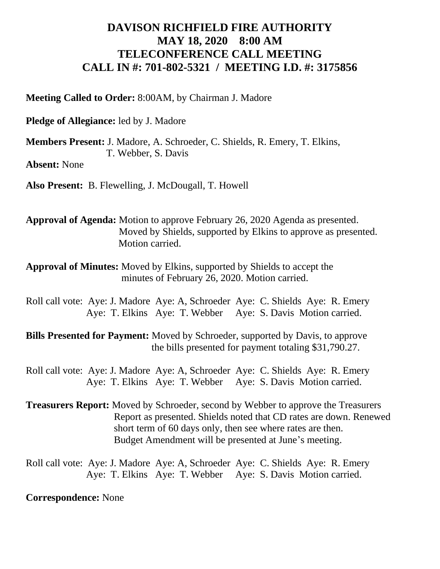## **DAVISON RICHFIELD FIRE AUTHORITY MAY 18, 2020 8:00 AM TELECONFERENCE CALL MEETING CALL IN #: 701-802-5321 / MEETING I.D. #: 3175856**

**Meeting Called to Order:** 8:00AM, by Chairman J. Madore

**Pledge of Allegiance:** led by J. Madore

**Members Present:** J. Madore, A. Schroeder, C. Shields, R. Emery, T. Elkins, T. Webber, S. Davis

**Absent:** None

**Also Present:** B. Flewelling, J. McDougall, T. Howell

**Approval of Agenda:** Motion to approve February 26, 2020 Agenda as presented. Moved by Shields, supported by Elkins to approve as presented. Motion carried.

**Approval of Minutes:** Moved by Elkins, supported by Shields to accept the minutes of February 26, 2020. Motion carried.

Roll call vote: Aye: J. Madore Aye: A, Schroeder Aye: C. Shields Aye: R. Emery Aye: T. Elkins Aye: T. Webber Aye: S. Davis Motion carried.

**Bills Presented for Payment:** Moved by Schroeder, supported by Davis, to approve the bills presented for payment totaling \$31,790.27.

Roll call vote: Aye: J. Madore Aye: A, Schroeder Aye: C. Shields Aye: R. Emery Aye: T. Elkins Aye: T. Webber Aye: S. Davis Motion carried.

**Treasurers Report:** Moved by Schroeder, second by Webber to approve the Treasurers Report as presented. Shields noted that CD rates are down. Renewed short term of 60 days only, then see where rates are then. Budget Amendment will be presented at June's meeting.

Roll call vote: Aye: J. Madore Aye: A, Schroeder Aye: C. Shields Aye: R. Emery Aye: T. Elkins Aye: T. Webber Aye: S. Davis Motion carried.

**Correspondence:** None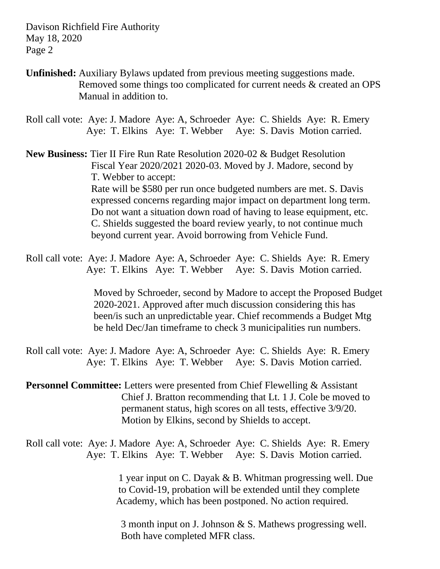Davison Richfield Fire Authority May 18, 2020 Page 2

**Unfinished:** Auxiliary Bylaws updated from previous meeting suggestions made. Removed some things too complicated for current needs & created an OPS Manual in addition to.

Roll call vote: Aye: J. Madore Aye: A, Schroeder Aye: C. Shields Aye: R. Emery Aye: T. Elkins Aye: T. Webber Aye: S. Davis Motion carried.

**New Business:** Tier II Fire Run Rate Resolution 2020-02 & Budget Resolution Fiscal Year 2020/2021 2020-03. Moved by J. Madore, second by T. Webber to accept: Rate will be \$580 per run once budgeted numbers are met. S. Davis expressed concerns regarding major impact on department long term. Do not want a situation down road of having to lease equipment, etc. C. Shields suggested the board review yearly, to not continue much beyond current year. Avoid borrowing from Vehicle Fund.

Roll call vote: Aye: J. Madore Aye: A, Schroeder Aye: C. Shields Aye: R. Emery Aye: T. Elkins Aye: T. Webber Aye: S. Davis Motion carried.

> Moved by Schroeder, second by Madore to accept the Proposed Budget 2020-2021. Approved after much discussion considering this has been/is such an unpredictable year. Chief recommends a Budget Mtg be held Dec/Jan timeframe to check 3 municipalities run numbers.

Roll call vote: Aye: J. Madore Aye: A, Schroeder Aye: C. Shields Aye: R. Emery Aye: T. Elkins Aye: T. Webber Aye: S. Davis Motion carried.

**Personnel Committee:** Letters were presented from Chief Flewelling & Assistant Chief J. Bratton recommending that Lt. 1 J. Cole be moved to permanent status, high scores on all tests, effective 3/9/20. Motion by Elkins, second by Shields to accept.

Roll call vote: Aye: J. Madore Aye: A, Schroeder Aye: C. Shields Aye: R. Emery Aye: T. Elkins Aye: T. Webber Aye: S. Davis Motion carried.

> 1 year input on C. Dayak & B. Whitman progressing well. Due to Covid-19, probation will be extended until they complete Academy, which has been postponed. No action required.

 3 month input on J. Johnson & S. Mathews progressing well. Both have completed MFR class.